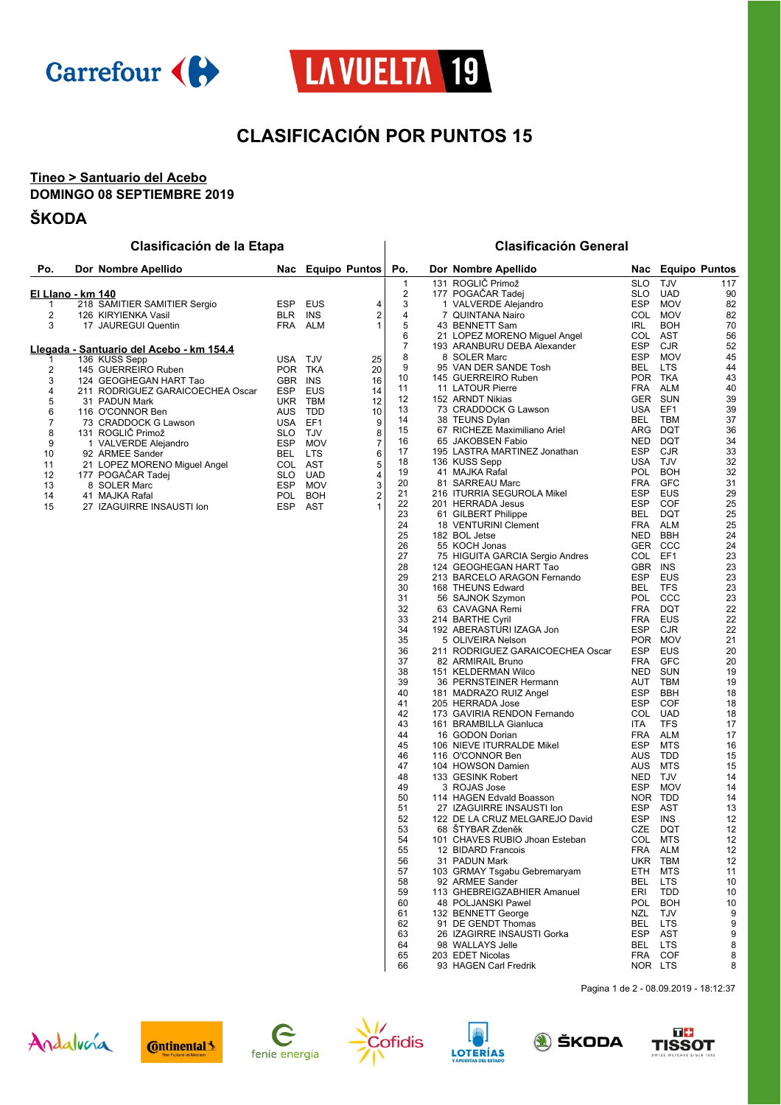



# **CLASIFICACIÓN POR PUNTOS 15**

### **Tineo > Santuario del Acebo DOMINGO 08 SEPTIEMBRE 2019**

## **ŠKODA**

## **Clasificación de la Etapa Clasificación General**

| Po.               | Dor Nombre Apellido                      |            |            | Nac Equipo Puntos       | Po.                     | Dor Nombre Apellido              | Nac        |            | <b>Equipo Puntos</b> |
|-------------------|------------------------------------------|------------|------------|-------------------------|-------------------------|----------------------------------|------------|------------|----------------------|
|                   |                                          |            |            |                         | $\mathbf{1}$            | 131 ROGLIČ Primož                | <b>SLO</b> | <b>TJV</b> | 117                  |
| El Llano - km 140 |                                          |            |            |                         | $\overline{\mathbf{c}}$ | 177 POGAČAR Tadej                | <b>SLO</b> | <b>UAD</b> | 90                   |
| 1                 | 218 SAMITIER SAMITIER Sergio             | <b>ESP</b> | <b>EUS</b> | 4                       | 3                       | 1 VALVERDE Alejandro             | <b>ESP</b> | <b>MOV</b> | 82                   |
| $\overline{c}$    | 126 KIRYIENKA Vasil                      | <b>BLR</b> | <b>INS</b> | 2                       | $\overline{4}$          | 7 QUINTANA Nairo                 | <b>COL</b> | <b>MOV</b> | 82                   |
| 3                 | 17 JAUREGUI Quentin                      | <b>FRA</b> | <b>ALM</b> | $\mathbf{1}$            | 5                       | 43 BENNETT Sam                   | <b>IRL</b> | <b>BOH</b> | 70                   |
|                   |                                          |            |            |                         | 6                       | 21 LOPEZ MORENO Miguel Angel     | COL AST    |            | 56                   |
|                   | Llegada - Santuario del Acebo - km 154.4 |            |            |                         | $\overline{7}$          | 193 ARANBURU DEBA Alexander      | <b>ESP</b> | <b>CJR</b> | 52                   |
|                   | 136 KUSS Sepp                            | USA TJV    |            | 25                      | 8                       | 8 SOLER Marc                     | <b>ESP</b> | <b>MOV</b> | 45                   |
| 2                 | 145 GUERREIRO Ruben                      | POR TKA    |            | 20                      | 9                       | 95 VAN DER SANDE Tosh            | <b>BEL</b> | <b>LTS</b> | 44                   |
| 3                 | 124 GEOGHEGAN HART Tao                   | <b>GBR</b> | <b>INS</b> | 16                      | 10                      | 145 GUERREIRO Ruben              | POR TKA    |            | 43                   |
| 4                 | 211 RODRIGUEZ GARAICOECHEA Oscar         | <b>ESP</b> | <b>EUS</b> | 14                      | 11                      | 11 LATOUR Pierre                 | <b>FRA</b> | <b>ALM</b> | 40                   |
| 5                 | 31 PADUN Mark                            | <b>UKR</b> | <b>TBM</b> | 12                      | 12                      | 152 ARNDT Nikias                 | <b>GER</b> | SUN        | 39                   |
| 6                 | 116 O'CONNOR Ben                         | <b>AUS</b> | <b>TDD</b> | 10                      | 13                      | 73 CRADDOCK G Lawson             | <b>USA</b> | EF1        | 39                   |
| $\overline{7}$    | 73 CRADDOCK G Lawson                     | <b>USA</b> | EF1        | 9                       | 14                      | 38 TEUNS Dylan                   | <b>BEL</b> | <b>TBM</b> | 37                   |
| 8                 | 131 ROGLIČ Primož                        | <b>SLO</b> | <b>TJV</b> | 8                       | 15                      | 67 RICHEZE Maximiliano Ariel     | <b>ARG</b> | <b>DQT</b> | 36                   |
| 9                 | 1 VALVERDE Alejandro                     | <b>ESP</b> | <b>MOV</b> | 7                       | 16                      | 65 JAKOBSEN Fabio                | <b>NED</b> | <b>DQT</b> | 34                   |
| 10                | 92 ARMEE Sander                          | <b>BEL</b> | <b>LTS</b> | 6                       | 17                      | 195 LASTRA MARTINEZ Jonathan     | <b>ESP</b> | <b>CJR</b> | 33                   |
| 11                | 21 LOPEZ MORENO Miguel Angel             | COL        | <b>AST</b> | 5                       | 18                      | 136 KUSS Sepp                    | <b>USA</b> | <b>TJV</b> | 32                   |
| 12                | 177 POGAČAR Tadej                        | <b>SLO</b> | <b>UAD</b> | 4                       | 19                      | 41 MAJKA Rafal                   | POL        | <b>BOH</b> | 32                   |
| 13                | 8 SOLER Marc                             | <b>ESP</b> | <b>MOV</b> | 3                       | 20                      | 81 SARREAU Marc                  | <b>FRA</b> | <b>GFC</b> | 31                   |
| 14                | 41 MAJKA Rafal                           | POL        | <b>BOH</b> | $\overline{\mathbf{c}}$ | 21                      | 216 ITURRIA SEGUROLA Mikel       | <b>ESP</b> | <b>EUS</b> | 29                   |
| 15                | 27 IZAGUIRRE INSAUSTI Ion                | <b>ESP</b> | <b>AST</b> |                         | 22                      | 201 HERRADA Jesus                | <b>ESP</b> | COF        | 25                   |
|                   |                                          |            |            |                         | 23                      | 61 GILBERT Philippe              | <b>BEL</b> | <b>DQT</b> | 25                   |
|                   |                                          |            |            |                         | 24                      | 18 VENTURINI Clement             | <b>FRA</b> | <b>ALM</b> | 25                   |
|                   |                                          |            |            |                         | 25                      | 182 BOL Jetse                    | <b>NED</b> | <b>BBH</b> | 24                   |
|                   |                                          |            |            |                         | 26                      | 55 KOCH Jonas                    |            | GER CCC    | 24                   |
|                   |                                          |            |            |                         | 27                      | 75 HIGUITA GARCIA Sergio Andres  | COL EF1    |            | 23                   |
|                   |                                          |            |            |                         | 28                      | 124 GEOGHEGAN HART Tao           | <b>GBR</b> | <b>INS</b> | 23                   |
|                   |                                          |            |            |                         | 29                      | 213 BARCELO ARAGON Fernando      | <b>ESP</b> | EUS        | 23                   |
|                   |                                          |            |            |                         | 30                      | 168 THEUNS Edward                | <b>BEL</b> | <b>TFS</b> | 23                   |
|                   |                                          |            |            |                         | 31                      | 56 SAJNOK Szymon                 | POL        | CCC        | 23                   |
|                   |                                          |            |            |                         | 32                      | 63 CAVAGNA Remi                  | <b>FRA</b> | <b>DQT</b> | 22                   |
|                   |                                          |            |            |                         | 33                      | 214 BARTHE Cyril                 | <b>FRA</b> | <b>EUS</b> | 22                   |
|                   |                                          |            |            |                         | 34                      | 192 ABERASTURI IZAGA Jon         | <b>ESP</b> | CJR        | 22                   |
|                   |                                          |            |            |                         | 35                      | 5 OLIVEIRA Nelson                | <b>POR</b> | <b>MOV</b> | 21                   |
|                   |                                          |            |            |                         | 36                      | 211 RODRIGUEZ GARAICOECHEA Oscar | <b>ESP</b> | <b>EUS</b> | 20                   |
|                   |                                          |            |            |                         | 37                      | 82 ARMIRAIL Bruno                | <b>FRA</b> | <b>GFC</b> | 20                   |
|                   |                                          |            |            |                         | 38                      | 151 KELDERMAN Wilco              | <b>NED</b> | <b>SUN</b> | 19                   |
|                   |                                          |            |            |                         |                         |                                  |            |            |                      |

| 1        | 131 ROGLIČ Primož                              | SLO<br>TJV               | 117      |
|----------|------------------------------------------------|--------------------------|----------|
| 2        | 177 POGACAR Tadej                              | SLO<br>UAD               | 90       |
| 3        | 1 VALVERDE Alejandro                           | ESP<br>MOV               | 82       |
| 4        | 7 QUINTANA Nairo                               | COL<br><b>MOV</b>        | 82       |
| 5        | 43 BENNETT Sam                                 | <b>IRL</b><br>BOH        | 70       |
| 6        | 21 LOPEZ MORENO Miguel Angel                   | COL<br>AST               | 56       |
| 7        | 193 ARANBURU DEBA Alexander                    | <b>ESP</b><br>CJR        | 52       |
| 8        | 8 SOLER Marc                                   | <b>ESP</b><br>MOV        | 45       |
| 9        | 95 VAN DER SANDE Tosh                          | <b>BEL</b><br><b>LTS</b> | 44       |
| 10       | 145 GUERREIRO Ruben                            | POR<br>TKA               | 43       |
| 11       | 11 LATOUR Pierre                               | <b>FRA</b><br>ALM        | 40       |
| 12       | 152 ARNDT Nikias                               | <b>GER</b><br>SUN        | 39       |
| 13       | 73 CRADDOCK G Lawson                           | USA<br>EF1               | 39       |
| 14       | 38 TEUNS Dylan                                 | BEL<br>TBM               | 37       |
| 15       | 67 RICHEZE Maximiliano Ariel                   | ARG<br>DQT               | 36       |
| 16       | 65 JAKOBSEN Fabio                              | <b>NED</b><br>DQT        | 34       |
| 17       | 195 LASTRA MARTINEZ Jonathan                   | <b>ESP</b><br>CJR        | 33       |
| 18       | 136 KUSS Sepp                                  | <b>USA</b><br>TJV        | 32       |
| 19       | 41 MAJKA Rafal                                 | <b>POL</b><br><b>BOH</b> | 32       |
| 20       | 81 SARREAU Marc                                | <b>FRA</b><br>GFC        | 31       |
| 21       | 216 ITURRIA SEGUROLA Mikel                     | <b>ESP</b><br>EUS        | 29       |
| 22       | 201 HERRADA Jesus                              | <b>ESP</b><br>COF        | 25       |
| 23       | 61 GILBERT Philippe                            | BEL<br>DQT               | 25       |
| 24       | 18 VENTURINI Clement                           | <b>FRA</b><br>ALM        | 25       |
| 25       | 182 BOL Jetse                                  | NED.<br>BBH              | 24       |
| 26       | 55 KOCH Jonas                                  | <b>GER</b><br>ccc        | 24       |
| 27       | 75 HIGUITA GARCIA Sergio Andres                | COL<br>EF1               | 23       |
| 28       | 124 GEOGHEGAN HART Tao                         | GBR.<br>INS              | 23       |
| 29       | 213 BARCELO ARAGON Fernando                    | <b>ESP</b><br>EUS        | 23       |
| 30       | 168 THEUNS Edward                              | <b>BEL</b><br>TFS        | 23       |
| 31       | 56 SAJNOK Szymon                               | <b>POL</b><br>ccc        | 23       |
| 32       | 63 CAVAGNA Remi                                | <b>FRA</b><br>DQT        | 22       |
| 33       | 214 BARTHE Cyril                               | <b>FRA</b><br>EUS        | 22       |
| 34       | 192 ABERASTURI IZAGA Jon                       | <b>ESP</b><br>CJR        | 22       |
| 35       | 5 OLIVEIRA Nelson                              | <b>POR</b><br>MOV        | 21       |
| 36       | 211 RODRIGUEZ GARAICOECHEA Oscar               | <b>ESP</b><br>EUS        | 20       |
| 37       | 82 ARMIRAIL Bruno                              | FRA<br>GFC               | 20       |
| 38       | 151 KELDERMAN Wilco                            | <b>NED</b><br>SUN        | 19       |
| 39       | 36 PERNSTEINER Hermann                         | AUT<br>TBM               | 19       |
| 40       | 181 MADRAZO RUIZ Angel                         | <b>ESP</b><br>BBH        | 18       |
| 41       | 205 HERRADA Jose                               | <b>ESP</b><br>COF        | 18       |
| 42       | 173 GAVIRIA RENDON Fernando                    | COL<br>UAD               | 18       |
| 43       | 161 BRAMBILLA Gianluca                         | ITA.<br>TFS              | 17       |
| 44       | 16 GODON Dorian                                | <b>FRA</b><br>ALM        | 17       |
| 45       | 106 NIEVE ITURRALDE Mikel                      | <b>ESP</b><br>MTS        | 16       |
| 46       | 116 O'CONNOR Ben                               | AUS<br>TDD               | 15       |
| 47       | 104 HOWSON Damien                              | AUS<br>MTS               | 15       |
| 48       | 133 GESINK Robert                              | NED<br>TJV               | 14       |
| 49       | 3 ROJAS Jose                                   | ESP<br><b>MOV</b>        | 14       |
| 50       | 114 HAGEN Edvald Boasson                       | <b>NOR</b><br>TDD        | 14       |
| 51       | 27 IZAGUIRRE INSAUSTI Ion                      | ESP<br>AST               | 13       |
| 52       | 122 DE LA CRUZ MELGAREJO David                 | <b>ESP</b><br>INS        | 12       |
| 53       | 68 STYBAR Zdeněk                               | CZE<br>DQT               | 12       |
| 54       | 101 CHAVES RUBIO Jhoan Esteban                 | COL<br>MTS<br>FRA        | 12<br>12 |
| 55       | 12 BIDARD Francois                             | ALM                      |          |
| 56<br>57 | 31 PADUN Mark<br>103 GRMAY Tsgabu Gebremaryam  | UKR<br>TBM<br>ETH        | 12<br>11 |
| 58       |                                                | MTS<br>BEL               | 10       |
| 59       | 92 ARMEE Sander<br>113 GHEBREIGZABHIER Amanuel | LTS<br>ERI<br><b>TDD</b> | 10       |
| 60       | 48 POLJANSKI Pawel                             | POL<br><b>BOH</b>        | 10       |
| 61       | 132 BENNETT George                             | NZL<br>TJV               | 9        |
| 62       | 91 DE GENDT Thomas                             | BEL<br>LTS               | 9        |
| 63       | 26 IZAGIRRE INSAUSTI Gorka                     | ESP<br>AST               | 9        |
| 64       | 98 WALLAYS Jelle                               | <b>BEL</b><br>LTS        | 8        |
| 65       | 203 EDET Nicolas                               | <b>FRA</b><br>COF        | 8        |
| 66       | 93 HAGEN Carl Fredrik                          | NOR<br>LTS               | 8        |
|          |                                                |                          |          |
|          |                                                |                          |          |

Pagina 1 de 2 - 08.09.2019 - 18:12:37